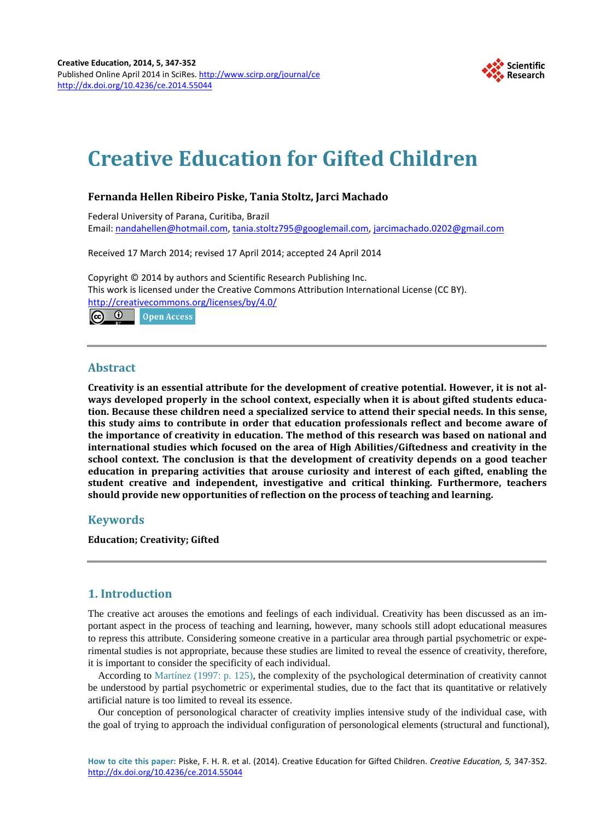

# **Creative Education for Gifted Children**

## **Fernanda Hellen Ribeiro Piske, Tania Stoltz, Jarci Machado**

Federal University of Parana, Curitiba, Brazil Email: [nandahellen@hotmail.com,](mailto:nandahellen@hotmail.com) [tania.stoltz795@googlemail.com,](mailto:tania.stoltz795@googlemail.com) [jarcimachado.0202@gmail.com](mailto:jarcimachado.0202@gmail.com)

Received 17 March 2014; revised 17 April 2014; accepted 24 April 2014

Copyright © 2014 by authors and Scientific Research Publishing Inc. This work is licensed under the Creative Commons Attribution International License (CC BY). <http://creativecommons.org/licenses/by/4.0/> <u>ේ</u> **Open Access** 



## **Abstract**

**Creativity is an essential attribute for the development of creative potential. However, it is not always developed properly in the school context, especially when it is about gifted students education. Because these children need a specialized service to attend their special needs. In this sense, this study aims to contribute in order that education professionals reflect and become aware of the importance of creativity in education. The method of this research was based on national and international studies which focused on the area of High Abilities/Giftedness and creativity in the school context. The conclusion is that the development of creativity depends on a good teacher education in preparing activities that arouse curiosity and interest of each gifted, enabling the student creative and independent, investigative and critical thinking. Furthermore, teachers should provide new opportunities of reflection on the process of teaching and learning.**

## **Keywords**

**Education; Creativity; Gifted**

## **1. Introduction**

The creative act arouses the emotions and feelings of each individual. Creativity has been discussed as an important aspect in the process of teaching and learning, however, many schools still adopt educational measures to repress this attribute. Considering someone creative in a particular area through partial psychometric or experimental studies is not appropriate, because these studies are limited to reveal the essence of creativity, therefore, it is important to consider the specificity of each individual.

According to [Martínez \(1997:](#page-4-0) p. 125), the complexity of the psychological determination of creativity cannot be understood by partial psychometric or experimental studies, due to the fact that its quantitative or relatively artificial nature is too limited to reveal its essence.

Our conception of personological character of creativity implies intensive study of the individual case, with the goal of trying to approach the individual configuration of personological elements (structural and functional),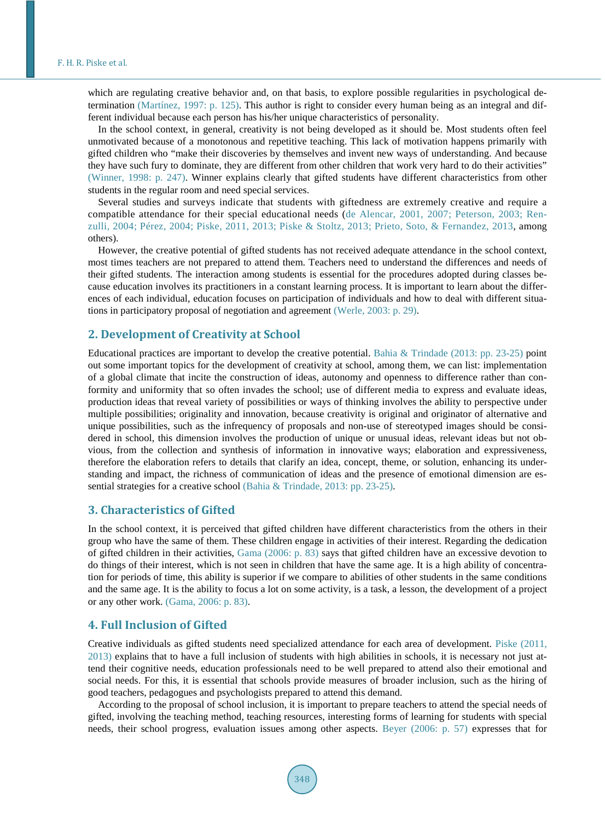which are regulating creative behavior and, on that basis, to explore possible regularities in psychological determination [\(Martínez, 1997:](#page-4-0) p. 125). This author is right to consider every human being as an integral and different individual because each person has his/her unique characteristics of personality.

In the school context, in general, creativity is not being developed as it should be. Most students often feel unmotivated because of a monotonous and repetitive teaching. This lack of motivation happens primarily with gifted children who "make their discoveries by themselves and invent new ways of understanding. And because they have such fury to dominate, they are different from other children that work very hard to do their activities" [\(Winner, 1998:](#page-5-0) p. 247). Winner explains clearly that gifted students have different characteristics from other students in the regular room and need special services.

Several studies and surveys indicate that students with giftedness are extremely creative and require a compatible attendance for their special educational needs [\(de Alencar, 2001, 2007; Peterson, 2003; Ren](#page-4-0)zulli, 2004; [Pérez, 2004; Piske, 2011, 2013; Piske & Stoltz, 2013;](#page-4-0) [Prieto, Soto, & Fernandez, 2013,](#page-5-0) among others).

However, the creative potential of gifted students has not received adequate attendance in the school context, most times teachers are not prepared to attend them. Teachers need to understand the differences and needs of their gifted students. The interaction among students is essential for the procedures adopted during classes because education involves its practitioners in a constant learning process. It is important to learn about the differences of each individual, education focuses on participation of individuals and how to deal with different situations in participatory proposal of negotiation and agreement [\(Werle, 2003:](#page-5-0) p. 29).

#### **2. Development of Creativity at School**

Educational practices are important to develop the creative potential. [Bahia & Trindade \(2013:](#page-4-0) pp. 23-25) point out some important topics for the development of creativity at school, among them, we can list: implementation of a global climate that incite the construction of ideas, autonomy and openness to difference rather than conformity and uniformity that so often invades the school; use of different media to express and evaluate ideas, production ideas that reveal variety of possibilities or ways of thinking involves the ability to perspective under multiple possibilities; originality and innovation, because creativity is original and originator of alternative and unique possibilities, such as the infrequency of proposals and non-use of stereotyped images should be considered in school, this dimension involves the production of unique or unusual ideas, relevant ideas but not obvious, from the collection and synthesis of information in innovative ways; elaboration and expressiveness, therefore the elaboration refers to details that clarify an idea, concept, theme, or solution, enhancing its understanding and impact, the richness of communication of ideas and the presence of emotional dimension are essential strategies for a creative school [\(Bahia & Trindade, 2013:](#page-4-0) pp. 23-25).

#### **3. Characteristics of Gifted**

In the school context, it is perceived that gifted children have different characteristics from the others in their group who have the same of them. These children engage in activities of their interest. Regarding the dedication of gifted children in their activities, [Gama \(2006:](#page-4-0) p. 83) says that gifted children have an excessive devotion to do things of their interest, which is not seen in children that have the same age. It is a high ability of concentration for periods of time, this ability is superior if we compare to abilities of other students in the same conditions and the same age. It is the ability to focus a lot on some activity, is a task, a lesson, the development of a project or any other work. [\(Gama, 2006:](#page-4-0) p. 83).

#### **4. Full Inclusion of Gifted**

Creative individuals as gifted students need specialized attendance for each area of development. [Piske \(2011,](#page-4-0)  [2013\)](#page-4-0) explains that to have a full inclusion of students with high abilities in schools, it is necessary not just attend their cognitive needs, education professionals need to be well prepared to attend also their emotional and social needs. For this, it is essential that schools provide measures of broader inclusion, such as the hiring of good teachers, pedagogues and psychologists prepared to attend this demand.

According to the proposal of school inclusion, it is important to prepare teachers to attend the special needs of gifted, involving the teaching method, teaching resources, interesting forms of learning for students with special needs, their school progress, evaluation issues among other aspects. [Beyer \(2006:](#page-4-0) p. 57) expresses that for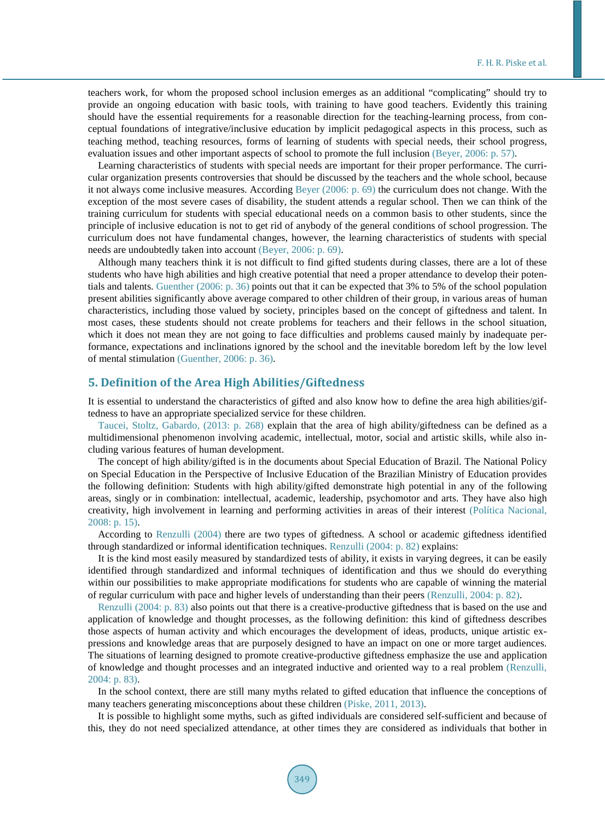teachers work, for whom the proposed school inclusion emerges as an additional "complicating" should try to provide an ongoing education with basic tools, with training to have good teachers. Evidently this training should have the essential requirements for a reasonable direction for the teaching-learning process, from conceptual foundations of integrative/inclusive education by implicit pedagogical aspects in this process, such as teaching method, teaching resources, forms of learning of students with special needs, their school progress, evaluation issues and other important aspects of school to promote the full inclusion [\(Beyer, 2006:](#page-4-0) p. 57).

Learning characteristics of students with special needs are important for their proper performance. The curricular organization presents controversies that should be discussed by the teachers and the whole school, because it not always come inclusive measures. According [Beyer \(2006:](#page-4-0) p. 69) the curriculum does not change. With the exception of the most severe cases of disability, the student attends a regular school. Then we can think of the training curriculum for students with special educational needs on a common basis to other students, since the principle of inclusive education is not to get rid of anybody of the general conditions of school progression. The curriculum does not have fundamental changes, however, the learning characteristics of students with special needs are undoubtedly taken into account [\(Beyer, 2006:](#page-4-0) p. 69).

Although many teachers think it is not difficult to find gifted students during classes, there are a lot of these students who have high abilities and high creative potential that need a proper attendance to develop their potentials and talents. [Guenther \(2006:](#page-4-0) p. 36) points out that it can be expected that 3% to 5% of the school population present abilities significantly above average compared to other children of their group, in various areas of human characteristics, including those valued by society, principles based on the concept of giftedness and talent. In most cases, these students should not create problems for teachers and their fellows in the school situation, which it does not mean they are not going to face difficulties and problems caused mainly by inadequate performance, expectations and inclinations ignored by the school and the inevitable boredom left by the low level of mental stimulation [\(Guenther, 2006:](#page-4-0) p. 36).

### **5. Definition of the Area High Abilities/Giftedness**

It is essential to understand the characteristics of gifted and also know how to define the area high abilities/giftedness to have an appropriate specialized service for these children.

[Taucei, Stoltz, Gabardo, \(2013:](#page-5-0) p. 268) explain that the area of high ability/giftedness can be defined as a multidimensional phenomenon involving academic, intellectual, motor, social and artistic skills, while also including various features of human development.

The concept of high ability/gifted is in the documents about Special Education of Brazil. The National Policy on Special Education in the Perspective of Inclusive Education of the Brazilian Ministry of Education provides the following definition: Students with high ability/gifted demonstrate high potential in any of the following areas, singly or in combination: intellectual, academic, leadership, psychomotor and arts. They have also high creativity, high involvement in learning and performing activities in areas of their interest [\(Política Nacional,](#page-4-0)  2008: [p. 15\).](#page-4-0)

According to [Renzulli \(2004\)](#page-5-0) there are two types of giftedness. A school or academic giftedness identified through standardized or informal identification techniques. [Renzulli \(2004:](#page-5-0) p. 82) explains:

It is the kind most easily measured by standardized tests of ability, it exists in varying degrees, it can be easily identified through standardized and informal techniques of identification and thus we should do everything within our possibilities to make appropriate modifications for students who are capable of winning the material of regular curriculum with pace and higher levels of understanding than their peers [\(Renzulli, 2004: p. 82\).](#page-5-0)

[Renzulli \(2004:](#page-5-0) p. 83) also points out that there is a creative-productive giftedness that is based on the use and application of knowledge and thought processes, as the following definition: this kind of giftedness describes those aspects of human activity and which encourages the development of ideas, products, unique artistic expressions and knowledge areas that are purposely designed to have an impact on one or more target audiences. The situations of learning designed to promote creative-productive giftedness emphasize the use and application of knowledge and thought processes and an integrated inductive and oriented way to a real problem [\(Renzulli,](#page-5-0)  2004: [p. 83\).](#page-5-0)

In the school context, there are still many myths related to gifted education that influence the conceptions of many teachers generating misconceptions about these children [\(Piske, 2011, 2013\).](#page-4-0) 

It is possible to highlight some myths, such as gifted individuals are considered self-sufficient and because of this, they do not need specialized attendance, at other times they are considered as individuals that bother in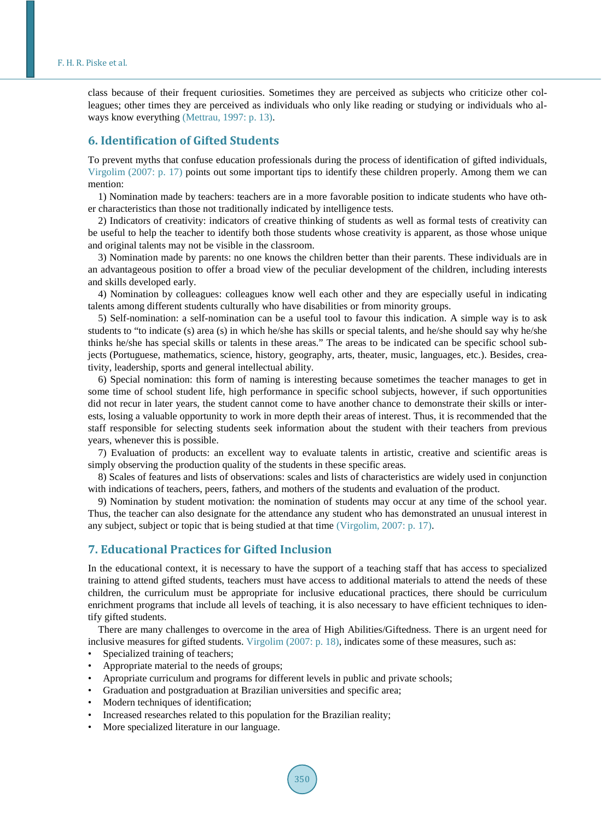class because of their frequent curiosities. Sometimes they are perceived as subjects who criticize other colleagues; other times they are perceived as individuals who only like reading or studying or individuals who always know everything [\(Mettrau, 1997: p. 13\).](#page-4-0)

## **6. Identification of Gifted Students**

To prevent myths that confuse education professionals during the process of identification of gifted individuals, [Virgolim \(2007:](#page-5-0) p. 17) points out some important tips to identify these children properly. Among them we can mention:

1) Nomination made by teachers: teachers are in a more favorable position to indicate students who have other characteristics than those not traditionally indicated by intelligence tests.

2) Indicators of creativity: indicators of creative thinking of students as well as formal tests of creativity can be useful to help the teacher to identify both those students whose creativity is apparent, as those whose unique and original talents may not be visible in the classroom.

3) Nomination made by parents: no one knows the children better than their parents. These individuals are in an advantageous position to offer a broad view of the peculiar development of the children, including interests and skills developed early.

4) Nomination by colleagues: colleagues know well each other and they are especially useful in indicating talents among different students culturally who have disabilities or from minority groups.

5) Self-nomination: a self-nomination can be a useful tool to favour this indication. A simple way is to ask students to "to indicate (s) area (s) in which he/she has skills or special talents, and he/she should say why he/she thinks he/she has special skills or talents in these areas." The areas to be indicated can be specific school subjects (Portuguese, mathematics, science, history, geography, arts, theater, music, languages, etc.). Besides, creativity, leadership, sports and general intellectual ability.

6) Special nomination: this form of naming is interesting because sometimes the teacher manages to get in some time of school student life, high performance in specific school subjects, however, if such opportunities did not recur in later years, the student cannot come to have another chance to demonstrate their skills or interests, losing a valuable opportunity to work in more depth their areas of interest. Thus, it is recommended that the staff responsible for selecting students seek information about the student with their teachers from previous years, whenever this is possible.

7) Evaluation of products: an excellent way to evaluate talents in artistic, creative and scientific areas is simply observing the production quality of the students in these specific areas.

8) Scales of features and lists of observations: scales and lists of characteristics are widely used in conjunction with indications of teachers, peers, fathers, and mothers of the students and evaluation of the product.

9) Nomination by student motivation: the nomination of students may occur at any time of the school year. Thus, the teacher can also designate for the attendance any student who has demonstrated an unusual interest in any subject, subject or topic that is being studied at that time [\(Virgolim, 2007:](#page-5-0) p. 17).

## **7. Educational Practices for Gifted Inclusion**

In the educational context, it is necessary to have the support of a teaching staff that has access to specialized training to attend gifted students, teachers must have access to additional materials to attend the needs of these children, the curriculum must be appropriate for inclusive educational practices, there should be curriculum enrichment programs that include all levels of teaching, it is also necessary to have efficient techniques to identify gifted students.

There are many challenges to overcome in the area of High Abilities/Giftedness. There is an urgent need for inclusive measures for gifted students. [Virgolim \(2007:](#page-5-0) p. 18), indicates some of these measures, such as:

- Specialized training of teachers;
- Appropriate material to the needs of groups;
- Apropriate curriculum and programs for different levels in public and private schools;
- Graduation and postgraduation at Brazilian universities and specific area;
- Modern techniques of identification;
- Increased researches related to this population for the Brazilian reality;
- More specialized literature in our language.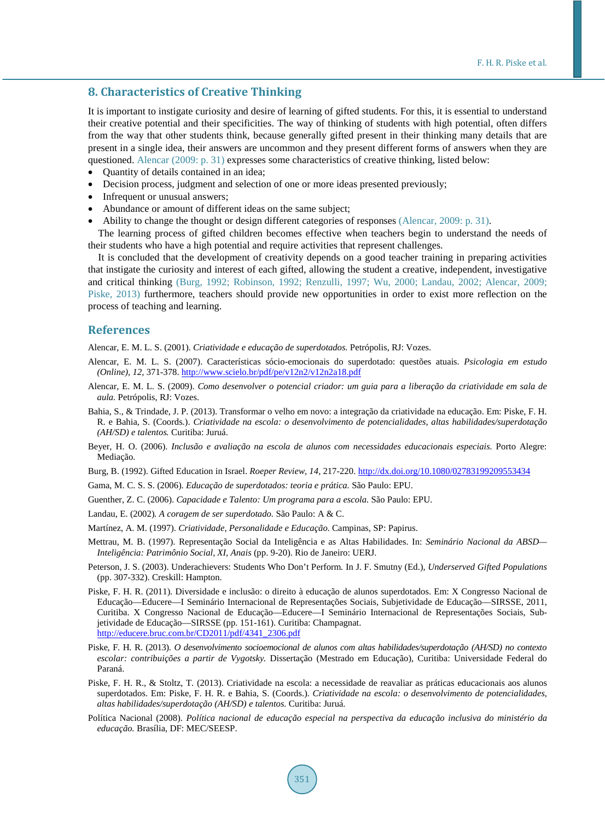#### **8. Characteristics of Creative Thinking**

It is important to instigate curiosity and desire of learning of gifted students. For this, it is essential to understand their creative potential and their specificities. The way of thinking of students with high potential, often differs from the way that other students think, because generally gifted present in their thinking many details that are present in a single idea, their answers are uncommon and they present different forms of answers when they are questioned. [Alencar \(2009:](#page-4-0) p. 31) expresses some characteristics of creative thinking, listed below:

- Quantity of details contained in an idea;
- Decision process, judgment and selection of one or more ideas presented previously;
- Infrequent or unusual answers;
- Abundance or amount of different ideas on the same subject;
- Ability to change the thought or design different categories of responses [\(Alencar, 2009:](#page-4-0) p. 31).

The learning process of gifted children becomes effective when teachers begin to understand the needs of their students who have a high potential and require activities that represent challenges.

It is concluded that the development of creativity depends on a good teacher training in preparing activities that instigate the curiosity and interest of each gifted, allowing the student a creative, independent, investigative and critical thinking [\(Burg, 1992;](#page-4-0) Robinson, 1992; [Renzulli, 1997; Wu, 2000;](#page-5-0) [Landau, 2002; Alencar, 2009;](#page-4-0)  [Piske, 2013\)](#page-4-0) furthermore, teachers should provide new opportunities in order to exist more reflection on the process of teaching and learning.

#### **References**

<span id="page-4-0"></span>Alencar, E. M. L. S. (2001). *Criatividade e educação de superdotados.* Petrópolis, RJ: Vozes.

- Alencar, E. M. L. S. (2007). Características sócio-emocionais do superdotado: questões atuais. *Psicologia em estudo (Online), 12,* 371-378[. http://www.scielo.br/pdf/pe/v12n2/v12n2a18.pdf](http://www.scielo.br/pdf/pe/v12n2/v12n2a18.pdf)
- Alencar, E. M. L. S. (2009). *Como desenvolver o potencial criador: um guia para a liberação da criatividade em sala de aula.* Petrópolis, RJ: Vozes.
- Bahia, S., & Trindade, J. P. (2013). Transformar o velho em novo: a integração da criatividade na educação. Em: Piske, F. H. R. e Bahia, S. (Coords.). *Criatividade na escola: o desenvolvimento de potencialidades, altas habilidades/superdotação (AH/SD) e talentos.* Curitiba: Juruá.
- Beyer, H. O. (2006). *Inclusão e avaliação na escola de alunos com necessidades educacionais especiais.* Porto Alegre: Mediação.
- Burg, B. (1992). Gifted Education in Israel. *Roeper Review, 14,* 217-220. <http://dx.doi.org/10.1080/02783199209553434>
- Gama, M. C. S. S. (2006). *Educação de superdotados: teoria e prática.* São Paulo: EPU.
- Guenther, Z. C. (2006). *Capacidade e Talento: Um programa para a escola.* São Paulo: EPU.
- Landau, E. (2002)*. A coragem de ser superdotado.* São Paulo: A & C.
- Martínez, A. M. (1997). *Criatividade, Personalidade e Educação.* Campinas, SP: Papirus.
- Mettrau, M. B. (1997). Representação Social da Inteligência e as Altas Habilidades. In: *Seminário Nacional da ABSD— Inteligência: Patrimônio Social, XI, Anais* (pp. 9-20). Rio de Janeiro: UERJ.
- Peterson, J. S. (2003). Underachievers: Students Who Don't Perform*.* In J. F. Smutny (Ed.), *Underserved Gifted Populations*  (pp. 307-332). Creskill: Hampton.
- Piske, F. H. R. (2011). Diversidade e inclusão: o direito à educação de alunos superdotados. Em: X Congresso Nacional de Educação—Educere—I Seminário Internacional de Representações Sociais, Subjetividade de Educação—SIRSSE, 2011, Curitiba. X Congresso Nacional de Educação—Educere—I Seminário Internacional de Representações Sociais, Subjetividade de Educação—SIRSSE (pp. 151-161). Curitiba: Champagnat. [http://educere.bruc.com.br/CD2011/pdf/4341\\_2306.pdf](http://educere.bruc.com.br/CD2011/pdf/4341_2306.pdf)
- Piske, F. H. R. (2013). *O desenvolvimento socioemocional de alunos com altas habilidades/superdotação (AH/SD) no contexto escolar: contribuições a partir de Vygotsky.* Dissertação (Mestrado em Educação), Curitiba: Universidade Federal do Paraná.
- Piske, F. H. R., & Stoltz, T. (2013). Criatividade na escola: a necessidade de reavaliar as práticas educacionais aos alunos superdotados. Em: Piske, F. H. R. e Bahia, S. (Coords.). *Criatividade na escola: o desenvolvimento de potencialidades, altas habilidades/superdotação (AH/SD) e talentos.* Curitiba: Juruá.
- Política Nacional (2008). *Política nacional de educação especial na perspectiva da educação inclusiva do ministério da educação.* Brasília, DF: MEC/SEESP.